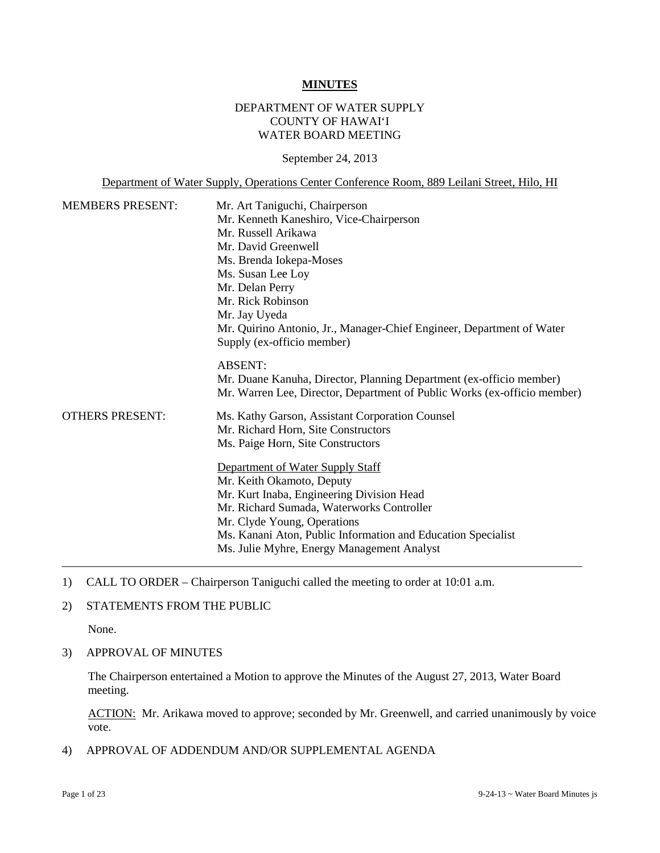#### **MINUTES**

## DEPARTMENT OF WATER SUPPLY COUNTY OF HAWAI'I WATER BOARD MEETING

September 24, 2013

Department of Water Supply, Operations Center Conference Room, 889 Leilani Street, Hilo, HI

| <b>MEMBERS PRESENT:</b> | Mr. Art Taniguchi, Chairperson                                                                      |
|-------------------------|-----------------------------------------------------------------------------------------------------|
|                         | Mr. Kenneth Kaneshiro, Vice-Chairperson                                                             |
|                         | Mr. Russell Arikawa                                                                                 |
|                         | Mr. David Greenwell                                                                                 |
|                         | Ms. Brenda Iokepa-Moses                                                                             |
|                         | Ms. Susan Lee Loy                                                                                   |
|                         | Mr. Delan Perry                                                                                     |
|                         | Mr. Rick Robinson                                                                                   |
|                         | Mr. Jay Uyeda                                                                                       |
|                         | Mr. Quirino Antonio, Jr., Manager-Chief Engineer, Department of Water<br>Supply (ex-officio member) |
|                         | <b>ABSENT:</b>                                                                                      |
|                         | Mr. Duane Kanuha, Director, Planning Department (ex-officio member)                                 |
|                         | Mr. Warren Lee, Director, Department of Public Works (ex-officio member)                            |
| <b>OTHERS PRESENT:</b>  | Ms. Kathy Garson, Assistant Corporation Counsel                                                     |
|                         | Mr. Richard Horn, Site Constructors                                                                 |
|                         | Ms. Paige Horn, Site Constructors                                                                   |
|                         | Department of Water Supply Staff                                                                    |
|                         | Mr. Keith Okamoto, Deputy                                                                           |
|                         | Mr. Kurt Inaba, Engineering Division Head                                                           |
|                         | Mr. Richard Sumada, Waterworks Controller                                                           |
|                         | Mr. Clyde Young, Operations                                                                         |
|                         | Ms. Kanani Aton, Public Information and Education Specialist                                        |
|                         | Ms. Julie Myhre, Energy Management Analyst                                                          |
|                         |                                                                                                     |

- 1) CALL TO ORDER Chairperson Taniguchi called the meeting to order at 10:01 a.m.
- 2) STATEMENTS FROM THE PUBLIC

None.

3) APPROVAL OF MINUTES

The Chairperson entertained a Motion to approve the Minutes of the August 27, 2013, Water Board meeting.

ACTION: Mr. Arikawa moved to approve; seconded by Mr. Greenwell, and carried unanimously by voice vote.

4) APPROVAL OF ADDENDUM AND/OR SUPPLEMENTAL AGENDA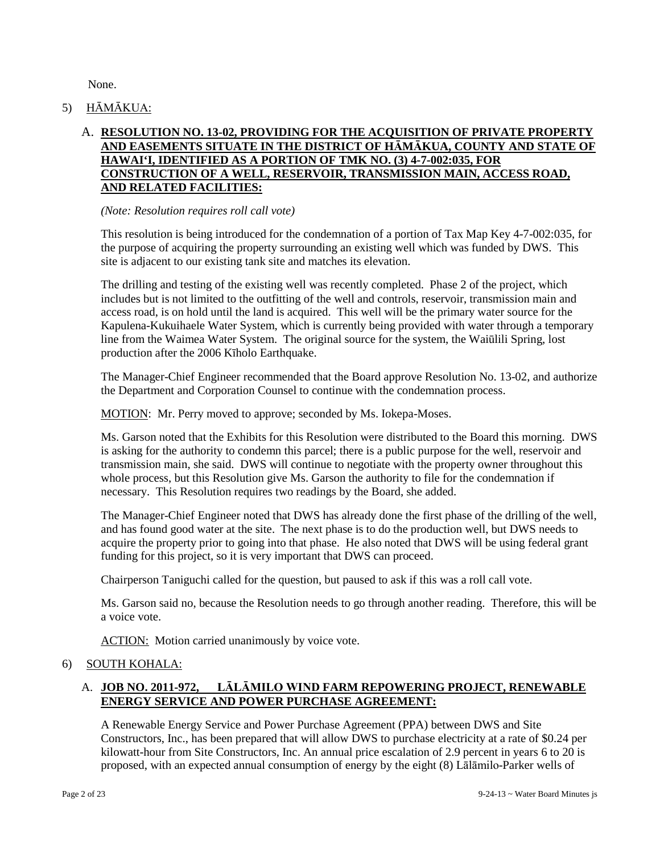None.

5) HĀMĀKUA:

# A. **RESOLUTION NO. 13-02, PROVIDING FOR THE ACQUISITION OF PRIVATE PROPERTY AND EASEMENTS SITUATE IN THE DISTRICT OF HĀMĀKUA, COUNTY AND STATE OF HAWAI'I, IDENTIFIED AS A PORTION OF TMK NO. (3) 4-7-002:035, FOR CONSTRUCTION OF A WELL, RESERVOIR, TRANSMISSION MAIN, ACCESS ROAD, AND RELATED FACILITIES:**

#### *(Note: Resolution requires roll call vote)*

This resolution is being introduced for the condemnation of a portion of Tax Map Key 4-7-002:035, for the purpose of acquiring the property surrounding an existing well which was funded by DWS. This site is adjacent to our existing tank site and matches its elevation.

The drilling and testing of the existing well was recently completed. Phase 2 of the project, which includes but is not limited to the outfitting of the well and controls, reservoir, transmission main and access road, is on hold until the land is acquired. This well will be the primary water source for the Kapulena-Kukuihaele Water System, which is currently being provided with water through a temporary line from the Waimea Water System. The original source for the system, the Waiūlili Spring, lost production after the 2006 Kīholo Earthquake.

The Manager-Chief Engineer recommended that the Board approve Resolution No. 13-02, and authorize the Department and Corporation Counsel to continue with the condemnation process.

MOTION: Mr. Perry moved to approve; seconded by Ms. Iokepa-Moses.

Ms. Garson noted that the Exhibits for this Resolution were distributed to the Board this morning. DWS is asking for the authority to condemn this parcel; there is a public purpose for the well, reservoir and transmission main, she said. DWS will continue to negotiate with the property owner throughout this whole process, but this Resolution give Ms. Garson the authority to file for the condemnation if necessary. This Resolution requires two readings by the Board, she added.

The Manager-Chief Engineer noted that DWS has already done the first phase of the drilling of the well, and has found good water at the site. The next phase is to do the production well, but DWS needs to acquire the property prior to going into that phase. He also noted that DWS will be using federal grant funding for this project, so it is very important that DWS can proceed.

Chairperson Taniguchi called for the question, but paused to ask if this was a roll call vote.

Ms. Garson said no, because the Resolution needs to go through another reading. Therefore, this will be a voice vote.

ACTION: Motion carried unanimously by voice vote.

## 6) SOUTH KOHALA:

# A. **JOB NO. 2011-972, LĀLĀMILO WIND FARM REPOWERING PROJECT, RENEWABLE ENERGY SERVICE AND POWER PURCHASE AGREEMENT:**

A Renewable Energy Service and Power Purchase Agreement (PPA) between DWS and Site Constructors, Inc., has been prepared that will allow DWS to purchase electricity at a rate of \$0.24 per kilowatt-hour from Site Constructors, Inc. An annual price escalation of 2.9 percent in years 6 to 20 is proposed, with an expected annual consumption of energy by the eight (8) Lālāmilo-Parker wells of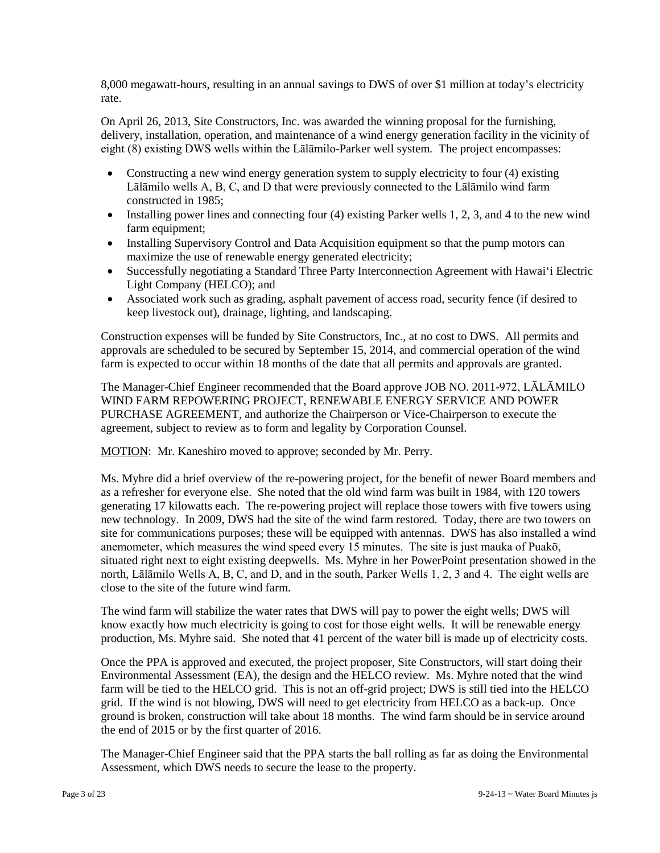8,000 megawatt-hours, resulting in an annual savings to DWS of over \$1 million at today's electricity rate.

On April 26, 2013, Site Constructors, Inc. was awarded the winning proposal for the furnishing, delivery, installation, operation, and maintenance of a wind energy generation facility in the vicinity of eight (8) existing DWS wells within the Lālāmilo-Parker well system. The project encompasses:

- Constructing a new wind energy generation system to supply electricity to four (4) existing Lālāmilo wells A, B, C, and D that were previously connected to the Lālāmilo wind farm constructed in 1985;
- Installing power lines and connecting four (4) existing Parker wells 1, 2, 3, and 4 to the new wind farm equipment;
- Installing Supervisory Control and Data Acquisition equipment so that the pump motors can maximize the use of renewable energy generated electricity;
- Successfully negotiating a Standard Three Party Interconnection Agreement with Hawai'i Electric Light Company (HELCO); and
- Associated work such as grading, asphalt pavement of access road, security fence (if desired to keep livestock out), drainage, lighting, and landscaping.

Construction expenses will be funded by Site Constructors, Inc., at no cost to DWS. All permits and approvals are scheduled to be secured by September 15, 2014, and commercial operation of the wind farm is expected to occur within 18 months of the date that all permits and approvals are granted.

The Manager-Chief Engineer recommended that the Board approve JOB NO. 2011-972, LĀLĀMILO WIND FARM REPOWERING PROJECT, RENEWABLE ENERGY SERVICE AND POWER PURCHASE AGREEMENT, and authorize the Chairperson or Vice-Chairperson to execute the agreement, subject to review as to form and legality by Corporation Counsel.

MOTION: Mr. Kaneshiro moved to approve; seconded by Mr. Perry.

Ms. Myhre did a brief overview of the re-powering project, for the benefit of newer Board members and as a refresher for everyone else. She noted that the old wind farm was built in 1984, with 120 towers generating 17 kilowatts each. The re-powering project will replace those towers with five towers using new technology. In 2009, DWS had the site of the wind farm restored. Today, there are two towers on site for communications purposes; these will be equipped with antennas. DWS has also installed a wind anemometer, which measures the wind speed every 15 minutes. The site is just mauka of Puakō, situated right next to eight existing deepwells. Ms. Myhre in her PowerPoint presentation showed in the north, Lālāmilo Wells A, B, C, and D, and in the south, Parker Wells 1, 2, 3 and 4. The eight wells are close to the site of the future wind farm.

The wind farm will stabilize the water rates that DWS will pay to power the eight wells; DWS will know exactly how much electricity is going to cost for those eight wells. It will be renewable energy production, Ms. Myhre said. She noted that 41 percent of the water bill is made up of electricity costs.

Once the PPA is approved and executed, the project proposer, Site Constructors, will start doing their Environmental Assessment (EA), the design and the HELCO review. Ms. Myhre noted that the wind farm will be tied to the HELCO grid. This is not an off-grid project; DWS is still tied into the HELCO grid. If the wind is not blowing, DWS will need to get electricity from HELCO as a back-up. Once ground is broken, construction will take about 18 months. The wind farm should be in service around the end of 2015 or by the first quarter of 2016.

The Manager-Chief Engineer said that the PPA starts the ball rolling as far as doing the Environmental Assessment, which DWS needs to secure the lease to the property.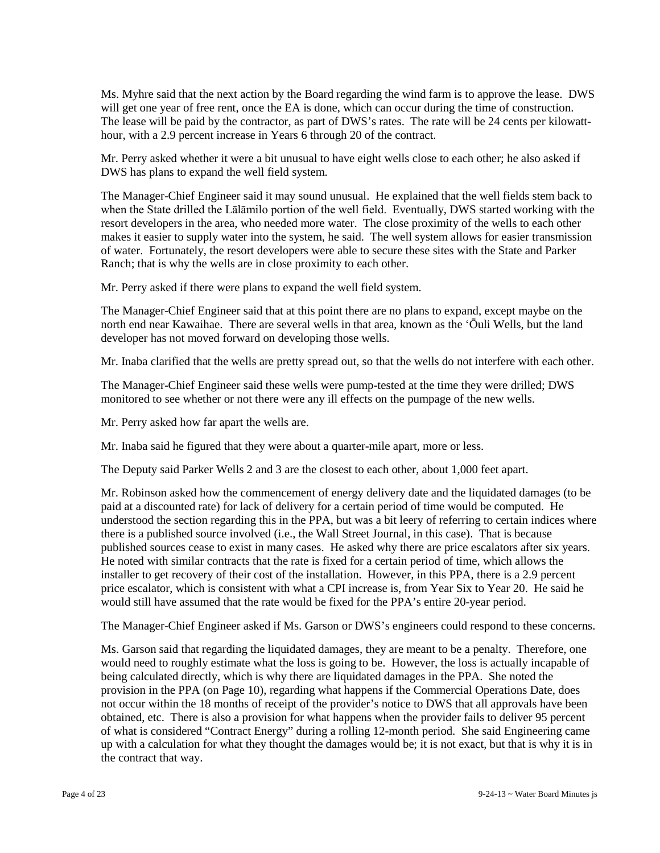Ms. Myhre said that the next action by the Board regarding the wind farm is to approve the lease. DWS will get one year of free rent, once the EA is done, which can occur during the time of construction. The lease will be paid by the contractor, as part of DWS's rates. The rate will be 24 cents per kilowatthour, with a 2.9 percent increase in Years 6 through 20 of the contract.

Mr. Perry asked whether it were a bit unusual to have eight wells close to each other; he also asked if DWS has plans to expand the well field system.

The Manager-Chief Engineer said it may sound unusual. He explained that the well fields stem back to when the State drilled the Lālāmilo portion of the well field. Eventually, DWS started working with the resort developers in the area, who needed more water. The close proximity of the wells to each other makes it easier to supply water into the system, he said. The well system allows for easier transmission of water. Fortunately, the resort developers were able to secure these sites with the State and Parker Ranch; that is why the wells are in close proximity to each other.

Mr. Perry asked if there were plans to expand the well field system.

The Manager-Chief Engineer said that at this point there are no plans to expand, except maybe on the north end near Kawaihae. There are several wells in that area, known as the 'Ōuli Wells, but the land developer has not moved forward on developing those wells.

Mr. Inaba clarified that the wells are pretty spread out, so that the wells do not interfere with each other.

The Manager-Chief Engineer said these wells were pump-tested at the time they were drilled; DWS monitored to see whether or not there were any ill effects on the pumpage of the new wells.

Mr. Perry asked how far apart the wells are.

Mr. Inaba said he figured that they were about a quarter-mile apart, more or less.

The Deputy said Parker Wells 2 and 3 are the closest to each other, about 1,000 feet apart.

Mr. Robinson asked how the commencement of energy delivery date and the liquidated damages (to be paid at a discounted rate) for lack of delivery for a certain period of time would be computed. He understood the section regarding this in the PPA, but was a bit leery of referring to certain indices where there is a published source involved (i.e., the Wall Street Journal, in this case). That is because published sources cease to exist in many cases. He asked why there are price escalators after six years. He noted with similar contracts that the rate is fixed for a certain period of time, which allows the installer to get recovery of their cost of the installation. However, in this PPA, there is a 2.9 percent price escalator, which is consistent with what a CPI increase is, from Year Six to Year 20. He said he would still have assumed that the rate would be fixed for the PPA's entire 20-year period.

The Manager-Chief Engineer asked if Ms. Garson or DWS's engineers could respond to these concerns.

Ms. Garson said that regarding the liquidated damages, they are meant to be a penalty. Therefore, one would need to roughly estimate what the loss is going to be. However, the loss is actually incapable of being calculated directly, which is why there are liquidated damages in the PPA. She noted the provision in the PPA (on Page 10), regarding what happens if the Commercial Operations Date, does not occur within the 18 months of receipt of the provider's notice to DWS that all approvals have been obtained, etc. There is also a provision for what happens when the provider fails to deliver 95 percent of what is considered "Contract Energy" during a rolling 12-month period. She said Engineering came up with a calculation for what they thought the damages would be; it is not exact, but that is why it is in the contract that way.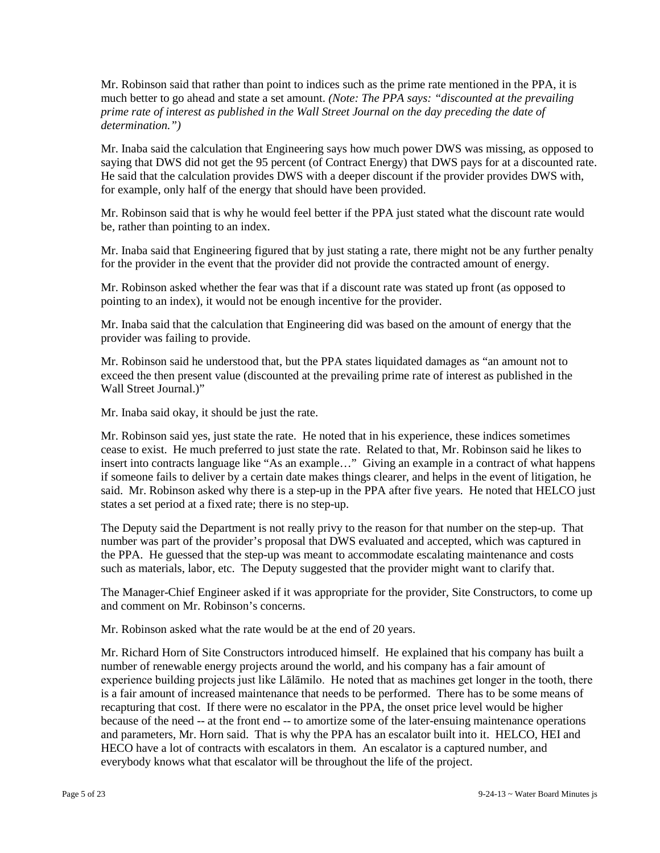Mr. Robinson said that rather than point to indices such as the prime rate mentioned in the PPA, it is much better to go ahead and state a set amount. *(Note: The PPA says: "discounted at the prevailing prime rate of interest as published in the Wall Street Journal on the day preceding the date of determination.")*

Mr. Inaba said the calculation that Engineering says how much power DWS was missing, as opposed to saying that DWS did not get the 95 percent (of Contract Energy) that DWS pays for at a discounted rate. He said that the calculation provides DWS with a deeper discount if the provider provides DWS with, for example, only half of the energy that should have been provided.

Mr. Robinson said that is why he would feel better if the PPA just stated what the discount rate would be, rather than pointing to an index.

Mr. Inaba said that Engineering figured that by just stating a rate, there might not be any further penalty for the provider in the event that the provider did not provide the contracted amount of energy.

Mr. Robinson asked whether the fear was that if a discount rate was stated up front (as opposed to pointing to an index), it would not be enough incentive for the provider.

Mr. Inaba said that the calculation that Engineering did was based on the amount of energy that the provider was failing to provide.

Mr. Robinson said he understood that, but the PPA states liquidated damages as "an amount not to exceed the then present value (discounted at the prevailing prime rate of interest as published in the Wall Street Journal.)"

Mr. Inaba said okay, it should be just the rate.

Mr. Robinson said yes, just state the rate. He noted that in his experience, these indices sometimes cease to exist. He much preferred to just state the rate. Related to that, Mr. Robinson said he likes to insert into contracts language like "As an example…" Giving an example in a contract of what happens if someone fails to deliver by a certain date makes things clearer, and helps in the event of litigation, he said. Mr. Robinson asked why there is a step-up in the PPA after five years. He noted that HELCO just states a set period at a fixed rate; there is no step-up.

The Deputy said the Department is not really privy to the reason for that number on the step-up. That number was part of the provider's proposal that DWS evaluated and accepted, which was captured in the PPA. He guessed that the step-up was meant to accommodate escalating maintenance and costs such as materials, labor, etc. The Deputy suggested that the provider might want to clarify that.

The Manager-Chief Engineer asked if it was appropriate for the provider, Site Constructors, to come up and comment on Mr. Robinson's concerns.

Mr. Robinson asked what the rate would be at the end of 20 years.

Mr. Richard Horn of Site Constructors introduced himself. He explained that his company has built a number of renewable energy projects around the world, and his company has a fair amount of experience building projects just like Lālāmilo. He noted that as machines get longer in the tooth, there is a fair amount of increased maintenance that needs to be performed. There has to be some means of recapturing that cost. If there were no escalator in the PPA, the onset price level would be higher because of the need -- at the front end -- to amortize some of the later-ensuing maintenance operations and parameters, Mr. Horn said. That is why the PPA has an escalator built into it. HELCO, HEI and HECO have a lot of contracts with escalators in them. An escalator is a captured number, and everybody knows what that escalator will be throughout the life of the project.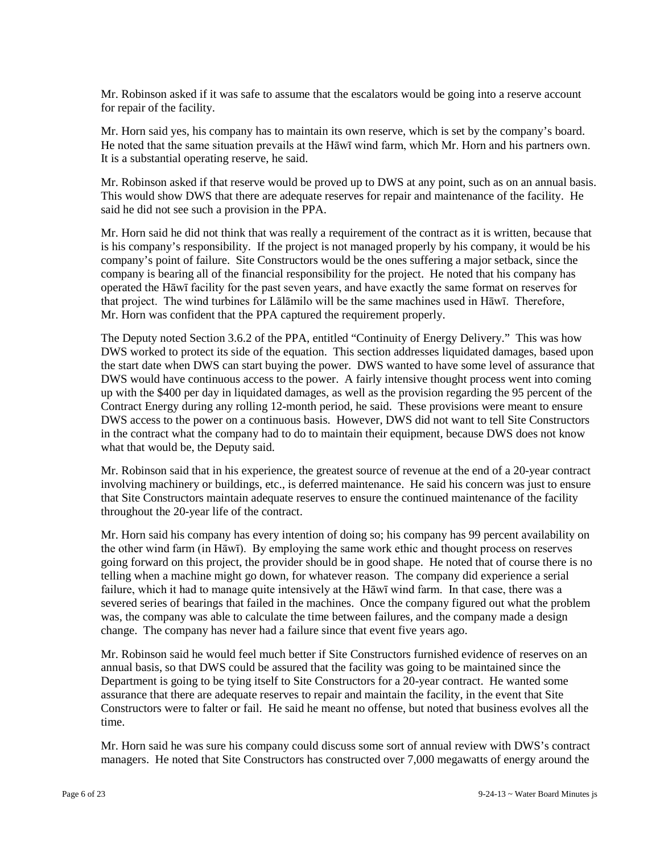Mr. Robinson asked if it was safe to assume that the escalators would be going into a reserve account for repair of the facility.

Mr. Horn said yes, his company has to maintain its own reserve, which is set by the company's board. He noted that the same situation prevails at the Hāwī wind farm, which Mr. Horn and his partners own. It is a substantial operating reserve, he said.

Mr. Robinson asked if that reserve would be proved up to DWS at any point, such as on an annual basis. This would show DWS that there are adequate reserves for repair and maintenance of the facility. He said he did not see such a provision in the PPA.

Mr. Horn said he did not think that was really a requirement of the contract as it is written, because that is his company's responsibility. If the project is not managed properly by his company, it would be his company's point of failure. Site Constructors would be the ones suffering a major setback, since the company is bearing all of the financial responsibility for the project. He noted that his company has operated the Hāwī facility for the past seven years, and have exactly the same format on reserves for that project. The wind turbines for Lālāmilo will be the same machines used in Hāwī. Therefore, Mr. Horn was confident that the PPA captured the requirement properly.

The Deputy noted Section 3.6.2 of the PPA, entitled "Continuity of Energy Delivery." This was how DWS worked to protect its side of the equation. This section addresses liquidated damages, based upon the start date when DWS can start buying the power. DWS wanted to have some level of assurance that DWS would have continuous access to the power. A fairly intensive thought process went into coming up with the \$400 per day in liquidated damages, as well as the provision regarding the 95 percent of the Contract Energy during any rolling 12-month period, he said. These provisions were meant to ensure DWS access to the power on a continuous basis. However, DWS did not want to tell Site Constructors in the contract what the company had to do to maintain their equipment, because DWS does not know what that would be, the Deputy said.

Mr. Robinson said that in his experience, the greatest source of revenue at the end of a 20-year contract involving machinery or buildings, etc., is deferred maintenance. He said his concern was just to ensure that Site Constructors maintain adequate reserves to ensure the continued maintenance of the facility throughout the 20-year life of the contract.

Mr. Horn said his company has every intention of doing so; his company has 99 percent availability on the other wind farm (in Hāwī). By employing the same work ethic and thought process on reserves going forward on this project, the provider should be in good shape. He noted that of course there is no telling when a machine might go down, for whatever reason. The company did experience a serial failure, which it had to manage quite intensively at the Hāwī wind farm. In that case, there was a severed series of bearings that failed in the machines. Once the company figured out what the problem was, the company was able to calculate the time between failures, and the company made a design change. The company has never had a failure since that event five years ago.

Mr. Robinson said he would feel much better if Site Constructors furnished evidence of reserves on an annual basis, so that DWS could be assured that the facility was going to be maintained since the Department is going to be tying itself to Site Constructors for a 20-year contract. He wanted some assurance that there are adequate reserves to repair and maintain the facility, in the event that Site Constructors were to falter or fail. He said he meant no offense, but noted that business evolves all the time.

Mr. Horn said he was sure his company could discuss some sort of annual review with DWS's contract managers. He noted that Site Constructors has constructed over 7,000 megawatts of energy around the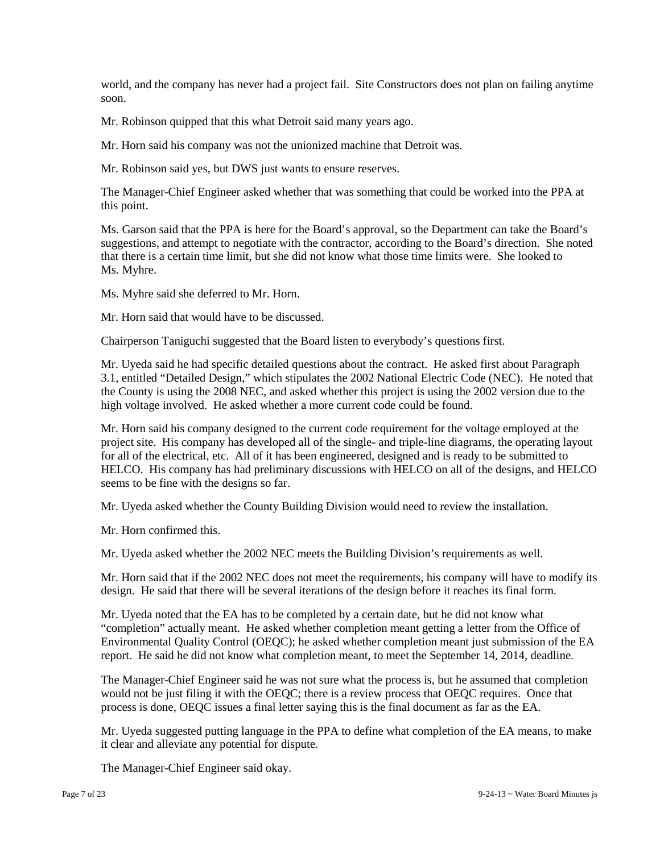world, and the company has never had a project fail. Site Constructors does not plan on failing anytime soon.

Mr. Robinson quipped that this what Detroit said many years ago.

Mr. Horn said his company was not the unionized machine that Detroit was.

Mr. Robinson said yes, but DWS just wants to ensure reserves.

The Manager-Chief Engineer asked whether that was something that could be worked into the PPA at this point.

Ms. Garson said that the PPA is here for the Board's approval, so the Department can take the Board's suggestions, and attempt to negotiate with the contractor, according to the Board's direction. She noted that there is a certain time limit, but she did not know what those time limits were. She looked to Ms. Myhre.

Ms. Myhre said she deferred to Mr. Horn.

Mr. Horn said that would have to be discussed.

Chairperson Taniguchi suggested that the Board listen to everybody's questions first.

Mr. Uyeda said he had specific detailed questions about the contract. He asked first about Paragraph 3.1, entitled "Detailed Design," which stipulates the 2002 National Electric Code (NEC). He noted that the County is using the 2008 NEC, and asked whether this project is using the 2002 version due to the high voltage involved. He asked whether a more current code could be found.

Mr. Horn said his company designed to the current code requirement for the voltage employed at the project site. His company has developed all of the single- and triple-line diagrams, the operating layout for all of the electrical, etc. All of it has been engineered, designed and is ready to be submitted to HELCO. His company has had preliminary discussions with HELCO on all of the designs, and HELCO seems to be fine with the designs so far.

Mr. Uyeda asked whether the County Building Division would need to review the installation.

Mr. Horn confirmed this.

Mr. Uyeda asked whether the 2002 NEC meets the Building Division's requirements as well.

Mr. Horn said that if the 2002 NEC does not meet the requirements, his company will have to modify its design. He said that there will be several iterations of the design before it reaches its final form.

Mr. Uyeda noted that the EA has to be completed by a certain date, but he did not know what "completion" actually meant. He asked whether completion meant getting a letter from the Office of Environmental Quality Control (OEQC); he asked whether completion meant just submission of the EA report. He said he did not know what completion meant, to meet the September 14, 2014, deadline.

The Manager-Chief Engineer said he was not sure what the process is, but he assumed that completion would not be just filing it with the OEQC; there is a review process that OEQC requires. Once that process is done, OEQC issues a final letter saying this is the final document as far as the EA.

Mr. Uyeda suggested putting language in the PPA to define what completion of the EA means, to make it clear and alleviate any potential for dispute.

The Manager-Chief Engineer said okay.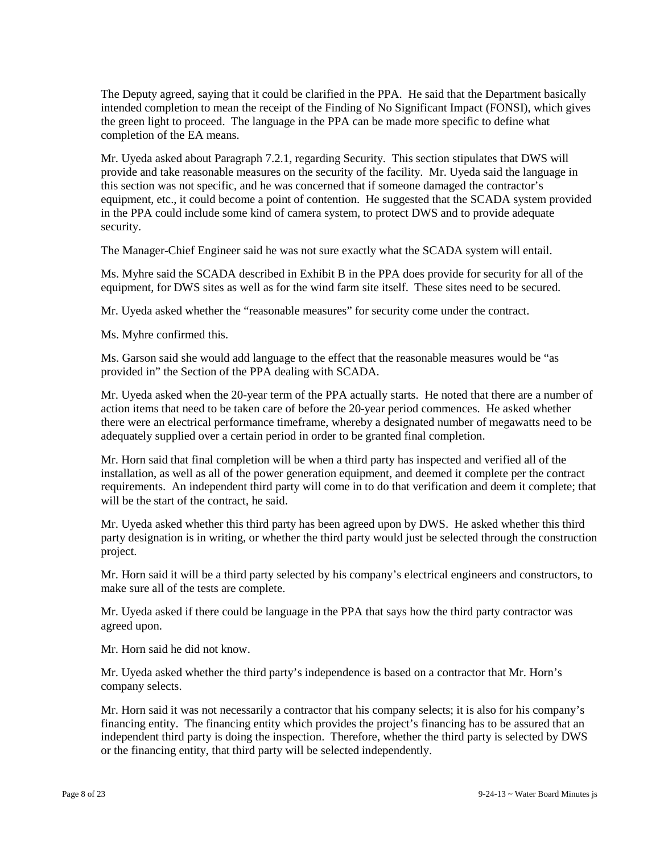The Deputy agreed, saying that it could be clarified in the PPA. He said that the Department basically intended completion to mean the receipt of the Finding of No Significant Impact (FONSI), which gives the green light to proceed. The language in the PPA can be made more specific to define what completion of the EA means.

Mr. Uyeda asked about Paragraph 7.2.1, regarding Security. This section stipulates that DWS will provide and take reasonable measures on the security of the facility. Mr. Uyeda said the language in this section was not specific, and he was concerned that if someone damaged the contractor's equipment, etc., it could become a point of contention. He suggested that the SCADA system provided in the PPA could include some kind of camera system, to protect DWS and to provide adequate security.

The Manager-Chief Engineer said he was not sure exactly what the SCADA system will entail.

Ms. Myhre said the SCADA described in Exhibit B in the PPA does provide for security for all of the equipment, for DWS sites as well as for the wind farm site itself. These sites need to be secured.

Mr. Uyeda asked whether the "reasonable measures" for security come under the contract.

Ms. Myhre confirmed this.

Ms. Garson said she would add language to the effect that the reasonable measures would be "as provided in" the Section of the PPA dealing with SCADA.

Mr. Uyeda asked when the 20-year term of the PPA actually starts. He noted that there are a number of action items that need to be taken care of before the 20-year period commences. He asked whether there were an electrical performance timeframe, whereby a designated number of megawatts need to be adequately supplied over a certain period in order to be granted final completion.

Mr. Horn said that final completion will be when a third party has inspected and verified all of the installation, as well as all of the power generation equipment, and deemed it complete per the contract requirements. An independent third party will come in to do that verification and deem it complete; that will be the start of the contract, he said.

Mr. Uyeda asked whether this third party has been agreed upon by DWS. He asked whether this third party designation is in writing, or whether the third party would just be selected through the construction project.

Mr. Horn said it will be a third party selected by his company's electrical engineers and constructors, to make sure all of the tests are complete.

Mr. Uyeda asked if there could be language in the PPA that says how the third party contractor was agreed upon.

Mr. Horn said he did not know.

Mr. Uyeda asked whether the third party's independence is based on a contractor that Mr. Horn's company selects.

Mr. Horn said it was not necessarily a contractor that his company selects; it is also for his company's financing entity. The financing entity which provides the project's financing has to be assured that an independent third party is doing the inspection. Therefore, whether the third party is selected by DWS or the financing entity, that third party will be selected independently.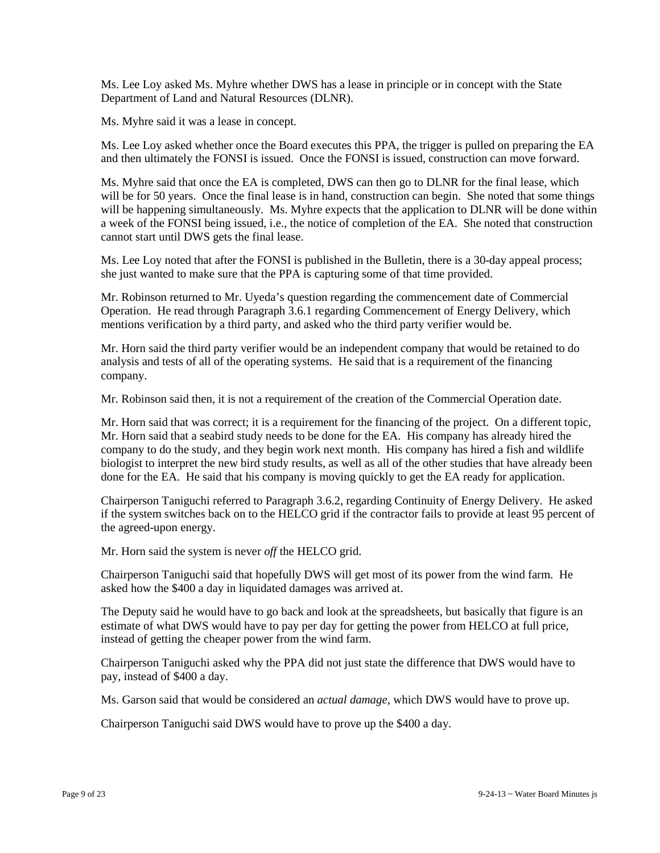Ms. Lee Loy asked Ms. Myhre whether DWS has a lease in principle or in concept with the State Department of Land and Natural Resources (DLNR).

Ms. Myhre said it was a lease in concept.

Ms. Lee Loy asked whether once the Board executes this PPA, the trigger is pulled on preparing the EA and then ultimately the FONSI is issued. Once the FONSI is issued, construction can move forward.

Ms. Myhre said that once the EA is completed, DWS can then go to DLNR for the final lease, which will be for 50 years. Once the final lease is in hand, construction can begin. She noted that some things will be happening simultaneously. Ms. Myhre expects that the application to DLNR will be done within a week of the FONSI being issued, i.e., the notice of completion of the EA. She noted that construction cannot start until DWS gets the final lease.

Ms. Lee Loy noted that after the FONSI is published in the Bulletin, there is a 30-day appeal process; she just wanted to make sure that the PPA is capturing some of that time provided.

Mr. Robinson returned to Mr. Uyeda's question regarding the commencement date of Commercial Operation. He read through Paragraph 3.6.1 regarding Commencement of Energy Delivery, which mentions verification by a third party, and asked who the third party verifier would be.

Mr. Horn said the third party verifier would be an independent company that would be retained to do analysis and tests of all of the operating systems. He said that is a requirement of the financing company.

Mr. Robinson said then, it is not a requirement of the creation of the Commercial Operation date.

Mr. Horn said that was correct; it is a requirement for the financing of the project. On a different topic, Mr. Horn said that a seabird study needs to be done for the EA. His company has already hired the company to do the study, and they begin work next month. His company has hired a fish and wildlife biologist to interpret the new bird study results, as well as all of the other studies that have already been done for the EA. He said that his company is moving quickly to get the EA ready for application.

Chairperson Taniguchi referred to Paragraph 3.6.2, regarding Continuity of Energy Delivery. He asked if the system switches back on to the HELCO grid if the contractor fails to provide at least 95 percent of the agreed-upon energy.

Mr. Horn said the system is never *off* the HELCO grid.

Chairperson Taniguchi said that hopefully DWS will get most of its power from the wind farm. He asked how the \$400 a day in liquidated damages was arrived at.

The Deputy said he would have to go back and look at the spreadsheets, but basically that figure is an estimate of what DWS would have to pay per day for getting the power from HELCO at full price, instead of getting the cheaper power from the wind farm.

Chairperson Taniguchi asked why the PPA did not just state the difference that DWS would have to pay, instead of \$400 a day.

Ms. Garson said that would be considered an *actual damage*, which DWS would have to prove up.

Chairperson Taniguchi said DWS would have to prove up the \$400 a day.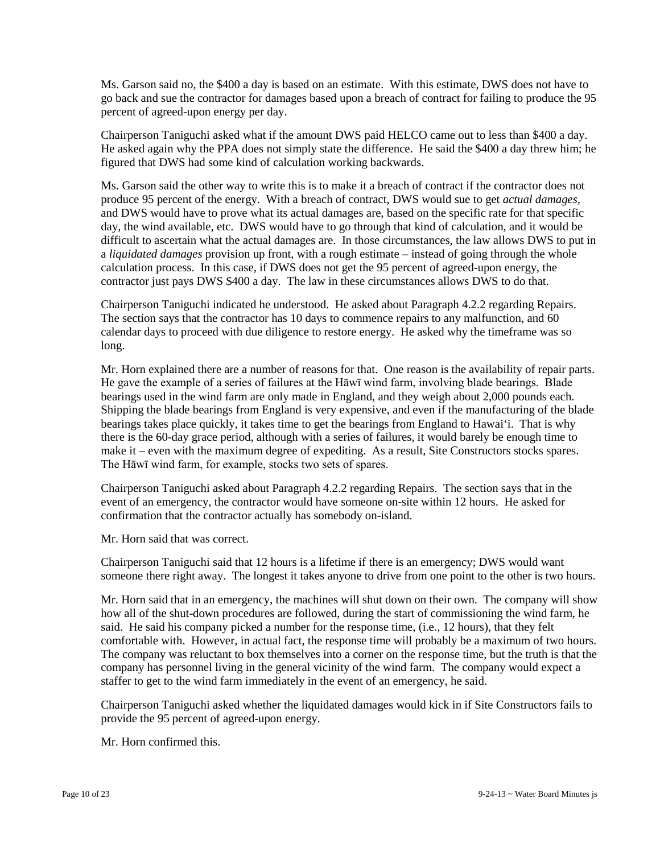Ms. Garson said no, the \$400 a day is based on an estimate. With this estimate, DWS does not have to go back and sue the contractor for damages based upon a breach of contract for failing to produce the 95 percent of agreed-upon energy per day.

Chairperson Taniguchi asked what if the amount DWS paid HELCO came out to less than \$400 a day. He asked again why the PPA does not simply state the difference. He said the \$400 a day threw him; he figured that DWS had some kind of calculation working backwards.

Ms. Garson said the other way to write this is to make it a breach of contract if the contractor does not produce 95 percent of the energy. With a breach of contract, DWS would sue to get *actual damages,*  and DWS would have to prove what its actual damages are, based on the specific rate for that specific day, the wind available, etc. DWS would have to go through that kind of calculation, and it would be difficult to ascertain what the actual damages are. In those circumstances, the law allows DWS to put in a *liquidated damages* provision up front, with a rough estimate – instead of going through the whole calculation process. In this case, if DWS does not get the 95 percent of agreed-upon energy, the contractor just pays DWS \$400 a day. The law in these circumstances allows DWS to do that.

Chairperson Taniguchi indicated he understood. He asked about Paragraph 4.2.2 regarding Repairs. The section says that the contractor has 10 days to commence repairs to any malfunction, and 60 calendar days to proceed with due diligence to restore energy. He asked why the timeframe was so long.

Mr. Horn explained there are a number of reasons for that. One reason is the availability of repair parts. He gave the example of a series of failures at the Hāwī wind farm, involving blade bearings. Blade bearings used in the wind farm are only made in England, and they weigh about 2,000 pounds each. Shipping the blade bearings from England is very expensive, and even if the manufacturing of the blade bearings takes place quickly, it takes time to get the bearings from England to Hawai'i. That is why there is the 60-day grace period, although with a series of failures, it would barely be enough time to make it – even with the maximum degree of expediting. As a result, Site Constructors stocks spares. The Hāwī wind farm, for example, stocks two sets of spares.

Chairperson Taniguchi asked about Paragraph 4.2.2 regarding Repairs. The section says that in the event of an emergency, the contractor would have someone on-site within 12 hours. He asked for confirmation that the contractor actually has somebody on-island.

Mr. Horn said that was correct.

Chairperson Taniguchi said that 12 hours is a lifetime if there is an emergency; DWS would want someone there right away. The longest it takes anyone to drive from one point to the other is two hours.

Mr. Horn said that in an emergency, the machines will shut down on their own. The company will show how all of the shut-down procedures are followed, during the start of commissioning the wind farm, he said. He said his company picked a number for the response time, (i.e., 12 hours), that they felt comfortable with. However, in actual fact, the response time will probably be a maximum of two hours. The company was reluctant to box themselves into a corner on the response time, but the truth is that the company has personnel living in the general vicinity of the wind farm. The company would expect a staffer to get to the wind farm immediately in the event of an emergency, he said.

Chairperson Taniguchi asked whether the liquidated damages would kick in if Site Constructors fails to provide the 95 percent of agreed-upon energy.

Mr. Horn confirmed this.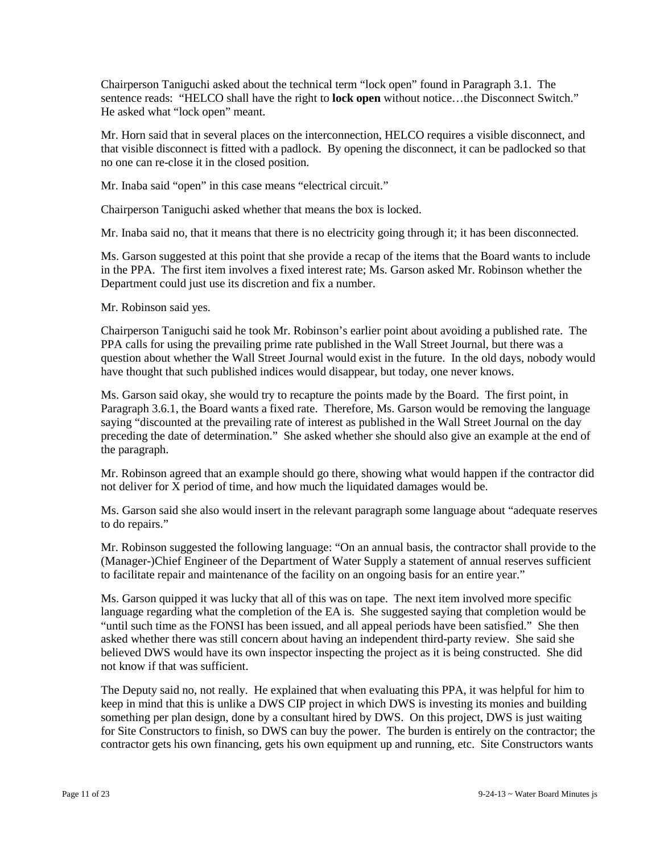Chairperson Taniguchi asked about the technical term "lock open" found in Paragraph 3.1. The sentence reads: "HELCO shall have the right to **lock open** without notice…the Disconnect Switch." He asked what "lock open" meant.

Mr. Horn said that in several places on the interconnection, HELCO requires a visible disconnect, and that visible disconnect is fitted with a padlock. By opening the disconnect, it can be padlocked so that no one can re-close it in the closed position.

Mr. Inaba said "open" in this case means "electrical circuit."

Chairperson Taniguchi asked whether that means the box is locked.

Mr. Inaba said no, that it means that there is no electricity going through it; it has been disconnected.

Ms. Garson suggested at this point that she provide a recap of the items that the Board wants to include in the PPA. The first item involves a fixed interest rate; Ms. Garson asked Mr. Robinson whether the Department could just use its discretion and fix a number.

Mr. Robinson said yes.

Chairperson Taniguchi said he took Mr. Robinson's earlier point about avoiding a published rate. The PPA calls for using the prevailing prime rate published in the Wall Street Journal, but there was a question about whether the Wall Street Journal would exist in the future. In the old days, nobody would have thought that such published indices would disappear, but today, one never knows.

Ms. Garson said okay, she would try to recapture the points made by the Board. The first point, in Paragraph 3.6.1, the Board wants a fixed rate. Therefore, Ms. Garson would be removing the language saying "discounted at the prevailing rate of interest as published in the Wall Street Journal on the day preceding the date of determination." She asked whether she should also give an example at the end of the paragraph.

Mr. Robinson agreed that an example should go there, showing what would happen if the contractor did not deliver for X period of time, and how much the liquidated damages would be.

Ms. Garson said she also would insert in the relevant paragraph some language about "adequate reserves to do repairs."

Mr. Robinson suggested the following language: "On an annual basis, the contractor shall provide to the (Manager-)Chief Engineer of the Department of Water Supply a statement of annual reserves sufficient to facilitate repair and maintenance of the facility on an ongoing basis for an entire year."

Ms. Garson quipped it was lucky that all of this was on tape. The next item involved more specific language regarding what the completion of the EA is. She suggested saying that completion would be "until such time as the FONSI has been issued, and all appeal periods have been satisfied." She then asked whether there was still concern about having an independent third-party review. She said she believed DWS would have its own inspector inspecting the project as it is being constructed. She did not know if that was sufficient.

The Deputy said no, not really. He explained that when evaluating this PPA, it was helpful for him to keep in mind that this is unlike a DWS CIP project in which DWS is investing its monies and building something per plan design, done by a consultant hired by DWS. On this project, DWS is just waiting for Site Constructors to finish, so DWS can buy the power. The burden is entirely on the contractor; the contractor gets his own financing, gets his own equipment up and running, etc. Site Constructors wants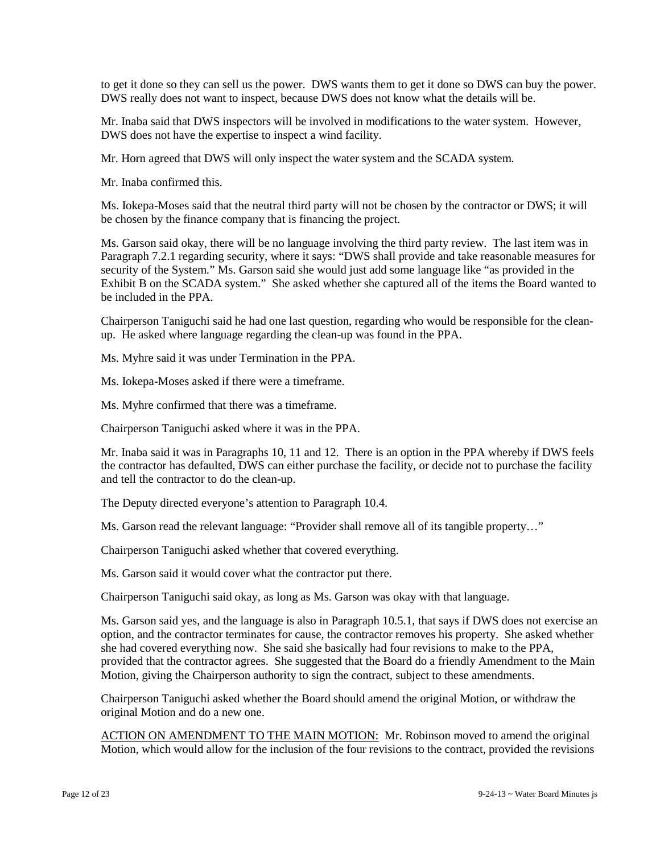to get it done so they can sell us the power. DWS wants them to get it done so DWS can buy the power. DWS really does not want to inspect, because DWS does not know what the details will be.

Mr. Inaba said that DWS inspectors will be involved in modifications to the water system. However, DWS does not have the expertise to inspect a wind facility.

Mr. Horn agreed that DWS will only inspect the water system and the SCADA system.

Mr. Inaba confirmed this.

Ms. Iokepa-Moses said that the neutral third party will not be chosen by the contractor or DWS; it will be chosen by the finance company that is financing the project.

Ms. Garson said okay, there will be no language involving the third party review. The last item was in Paragraph 7.2.1 regarding security, where it says: "DWS shall provide and take reasonable measures for security of the System." Ms. Garson said she would just add some language like "as provided in the Exhibit B on the SCADA system." She asked whether she captured all of the items the Board wanted to be included in the PPA.

Chairperson Taniguchi said he had one last question, regarding who would be responsible for the cleanup. He asked where language regarding the clean-up was found in the PPA.

Ms. Myhre said it was under Termination in the PPA.

Ms. Iokepa-Moses asked if there were a timeframe.

Ms. Myhre confirmed that there was a timeframe.

Chairperson Taniguchi asked where it was in the PPA.

Mr. Inaba said it was in Paragraphs 10, 11 and 12. There is an option in the PPA whereby if DWS feels the contractor has defaulted, DWS can either purchase the facility, or decide not to purchase the facility and tell the contractor to do the clean-up.

The Deputy directed everyone's attention to Paragraph 10.4.

Ms. Garson read the relevant language: "Provider shall remove all of its tangible property…"

Chairperson Taniguchi asked whether that covered everything.

Ms. Garson said it would cover what the contractor put there.

Chairperson Taniguchi said okay, as long as Ms. Garson was okay with that language.

Ms. Garson said yes, and the language is also in Paragraph 10.5.1, that says if DWS does not exercise an option, and the contractor terminates for cause, the contractor removes his property. She asked whether she had covered everything now. She said she basically had four revisions to make to the PPA, provided that the contractor agrees. She suggested that the Board do a friendly Amendment to the Main Motion, giving the Chairperson authority to sign the contract, subject to these amendments.

Chairperson Taniguchi asked whether the Board should amend the original Motion, or withdraw the original Motion and do a new one.

ACTION ON AMENDMENT TO THE MAIN MOTION: Mr. Robinson moved to amend the original Motion, which would allow for the inclusion of the four revisions to the contract, provided the revisions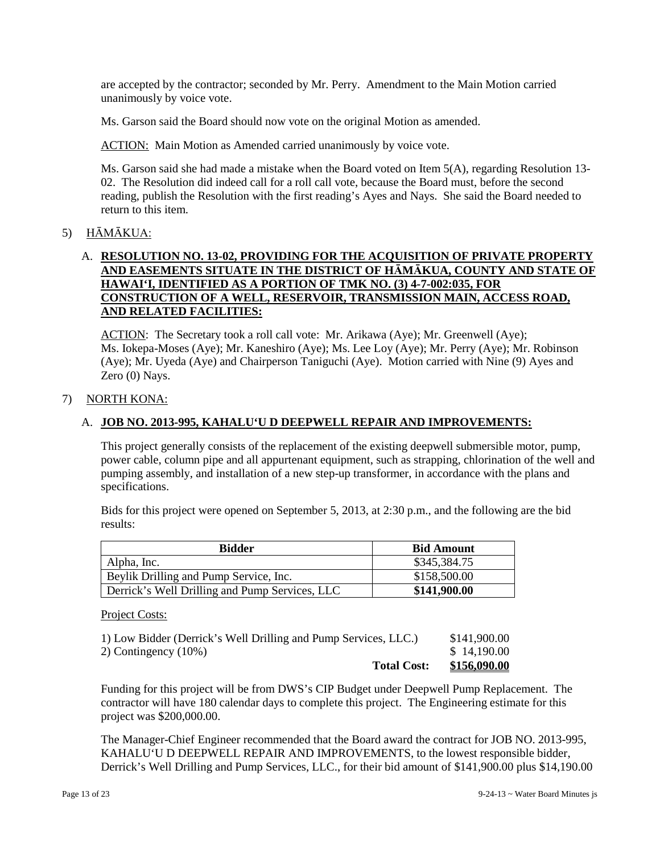are accepted by the contractor; seconded by Mr. Perry. Amendment to the Main Motion carried unanimously by voice vote.

Ms. Garson said the Board should now vote on the original Motion as amended.

ACTION: Main Motion as Amended carried unanimously by voice vote.

Ms. Garson said she had made a mistake when the Board voted on Item  $5(A)$ , regarding Resolution 13-02. The Resolution did indeed call for a roll call vote, because the Board must, before the second reading, publish the Resolution with the first reading's Ayes and Nays. She said the Board needed to return to this item.

## 5) HĀMĀKUA:

## A. **RESOLUTION NO. 13-02, PROVIDING FOR THE ACQUISITION OF PRIVATE PROPERTY AND EASEMENTS SITUATE IN THE DISTRICT OF HĀMĀKUA, COUNTY AND STATE OF HAWAI'I, IDENTIFIED AS A PORTION OF TMK NO. (3) 4-7-002:035, FOR CONSTRUCTION OF A WELL, RESERVOIR, TRANSMISSION MAIN, ACCESS ROAD, AND RELATED FACILITIES:**

ACTION: The Secretary took a roll call vote: Mr. Arikawa (Aye); Mr. Greenwell (Aye); Ms. Iokepa-Moses (Aye); Mr. Kaneshiro (Aye); Ms. Lee Loy (Aye); Mr. Perry (Aye); Mr. Robinson (Aye); Mr. Uyeda (Aye) and Chairperson Taniguchi (Aye). Motion carried with Nine (9) Ayes and Zero (0) Nays.

## 7) NORTH KONA:

## A. **JOB NO. 2013-995, KAHALU'U D DEEPWELL REPAIR AND IMPROVEMENTS:**

This project generally consists of the replacement of the existing deepwell submersible motor, pump, power cable, column pipe and all appurtenant equipment, such as strapping, chlorination of the well and pumping assembly, and installation of a new step-up transformer, in accordance with the plans and specifications.

Bids for this project were opened on September 5, 2013, at 2:30 p.m., and the following are the bid results:

| <b>Bidder</b>                                  | <b>Bid Amount</b> |
|------------------------------------------------|-------------------|
| Alpha, Inc.                                    | \$345,384.75      |
| Beylik Drilling and Pump Service, Inc.         | \$158,500.00      |
| Derrick's Well Drilling and Pump Services, LLC | \$141,900.00      |

#### Project Costs:

| <b>Total Cost:</b>                                              | \$156,090.00 |
|-----------------------------------------------------------------|--------------|
| 2) Contingency $(10\%)$                                         | \$14,190.00  |
| 1) Low Bidder (Derrick's Well Drilling and Pump Services, LLC.) | \$141,900.00 |

Funding for this project will be from DWS's CIP Budget under Deepwell Pump Replacement. The contractor will have 180 calendar days to complete this project. The Engineering estimate for this project was \$200,000.00.

The Manager-Chief Engineer recommended that the Board award the contract for JOB NO. 2013-995, KAHALU'U D DEEPWELL REPAIR AND IMPROVEMENTS, to the lowest responsible bidder, Derrick's Well Drilling and Pump Services, LLC., for their bid amount of \$141,900.00 plus \$14,190.00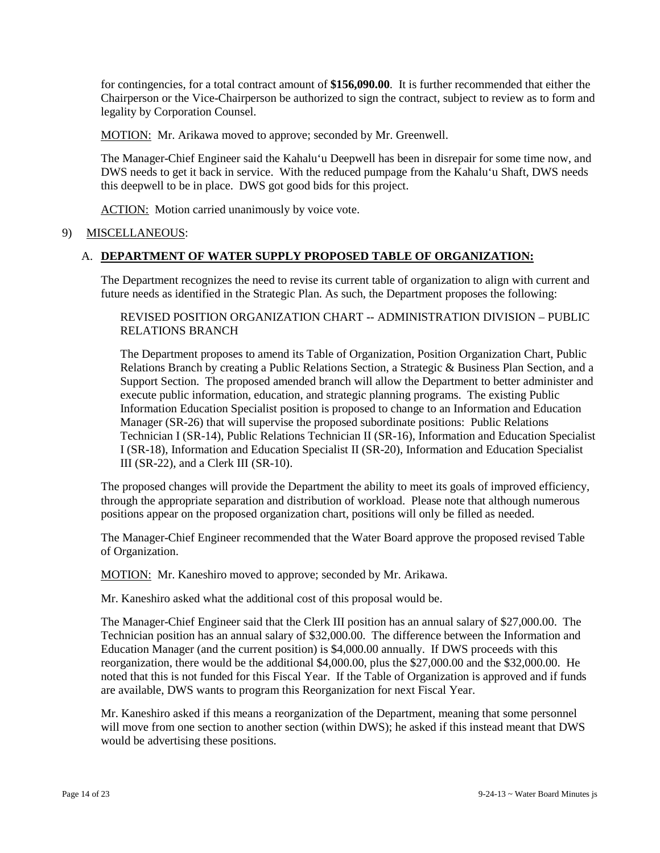for contingencies, for a total contract amount of **\$156,090.00**. It is further recommended that either the Chairperson or the Vice-Chairperson be authorized to sign the contract, subject to review as to form and legality by Corporation Counsel.

MOTION: Mr. Arikawa moved to approve; seconded by Mr. Greenwell.

The Manager-Chief Engineer said the Kahalu'u Deepwell has been in disrepair for some time now, and DWS needs to get it back in service. With the reduced pumpage from the Kahalu'u Shaft, DWS needs this deepwell to be in place. DWS got good bids for this project.

ACTION: Motion carried unanimously by voice vote.

#### 9) MISCELLANEOUS:

#### A. **DEPARTMENT OF WATER SUPPLY PROPOSED TABLE OF ORGANIZATION:**

The Department recognizes the need to revise its current table of organization to align with current and future needs as identified in the Strategic Plan. As such, the Department proposes the following:

REVISED POSITION ORGANIZATION CHART -- ADMINISTRATION DIVISION – PUBLIC RELATIONS BRANCH

The Department proposes to amend its Table of Organization, Position Organization Chart, Public Relations Branch by creating a Public Relations Section, a Strategic & Business Plan Section, and a Support Section. The proposed amended branch will allow the Department to better administer and execute public information, education, and strategic planning programs. The existing Public Information Education Specialist position is proposed to change to an Information and Education Manager (SR-26) that will supervise the proposed subordinate positions: Public Relations Technician I (SR-14), Public Relations Technician II (SR-16), Information and Education Specialist I (SR-18), Information and Education Specialist II (SR-20), Information and Education Specialist III (SR-22), and a Clerk III (SR-10).

The proposed changes will provide the Department the ability to meet its goals of improved efficiency, through the appropriate separation and distribution of workload. Please note that although numerous positions appear on the proposed organization chart, positions will only be filled as needed.

The Manager-Chief Engineer recommended that the Water Board approve the proposed revised Table of Organization.

MOTION: Mr. Kaneshiro moved to approve; seconded by Mr. Arikawa.

Mr. Kaneshiro asked what the additional cost of this proposal would be.

The Manager-Chief Engineer said that the Clerk III position has an annual salary of \$27,000.00. The Technician position has an annual salary of \$32,000.00. The difference between the Information and Education Manager (and the current position) is \$4,000.00 annually. If DWS proceeds with this reorganization, there would be the additional \$4,000.00, plus the \$27,000.00 and the \$32,000.00. He noted that this is not funded for this Fiscal Year. If the Table of Organization is approved and if funds are available, DWS wants to program this Reorganization for next Fiscal Year.

Mr. Kaneshiro asked if this means a reorganization of the Department, meaning that some personnel will move from one section to another section (within DWS); he asked if this instead meant that DWS would be advertising these positions.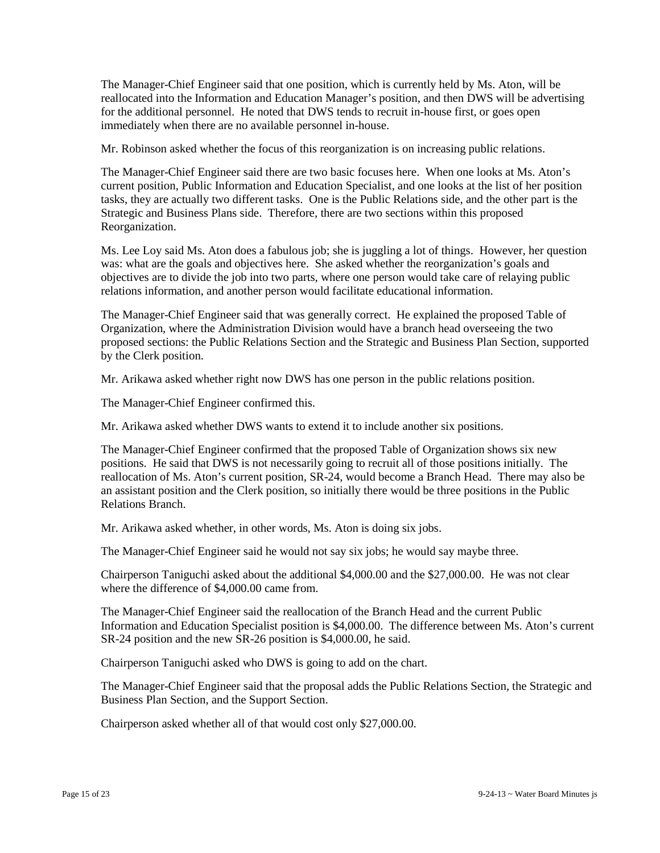The Manager-Chief Engineer said that one position, which is currently held by Ms. Aton, will be reallocated into the Information and Education Manager's position, and then DWS will be advertising for the additional personnel. He noted that DWS tends to recruit in-house first, or goes open immediately when there are no available personnel in-house.

Mr. Robinson asked whether the focus of this reorganization is on increasing public relations.

The Manager-Chief Engineer said there are two basic focuses here. When one looks at Ms. Aton's current position, Public Information and Education Specialist, and one looks at the list of her position tasks, they are actually two different tasks. One is the Public Relations side, and the other part is the Strategic and Business Plans side. Therefore, there are two sections within this proposed Reorganization.

Ms. Lee Loy said Ms. Aton does a fabulous job; she is juggling a lot of things. However, her question was: what are the goals and objectives here. She asked whether the reorganization's goals and objectives are to divide the job into two parts, where one person would take care of relaying public relations information, and another person would facilitate educational information.

The Manager-Chief Engineer said that was generally correct. He explained the proposed Table of Organization, where the Administration Division would have a branch head overseeing the two proposed sections: the Public Relations Section and the Strategic and Business Plan Section, supported by the Clerk position.

Mr. Arikawa asked whether right now DWS has one person in the public relations position.

The Manager-Chief Engineer confirmed this.

Mr. Arikawa asked whether DWS wants to extend it to include another six positions.

The Manager-Chief Engineer confirmed that the proposed Table of Organization shows six new positions. He said that DWS is not necessarily going to recruit all of those positions initially. The reallocation of Ms. Aton's current position, SR-24, would become a Branch Head. There may also be an assistant position and the Clerk position, so initially there would be three positions in the Public Relations Branch.

Mr. Arikawa asked whether, in other words, Ms. Aton is doing six jobs.

The Manager-Chief Engineer said he would not say six jobs; he would say maybe three.

Chairperson Taniguchi asked about the additional \$4,000.00 and the \$27,000.00. He was not clear where the difference of \$4,000.00 came from.

The Manager-Chief Engineer said the reallocation of the Branch Head and the current Public Information and Education Specialist position is \$4,000.00. The difference between Ms. Aton's current SR-24 position and the new SR-26 position is \$4,000.00, he said.

Chairperson Taniguchi asked who DWS is going to add on the chart.

The Manager-Chief Engineer said that the proposal adds the Public Relations Section, the Strategic and Business Plan Section, and the Support Section.

Chairperson asked whether all of that would cost only \$27,000.00.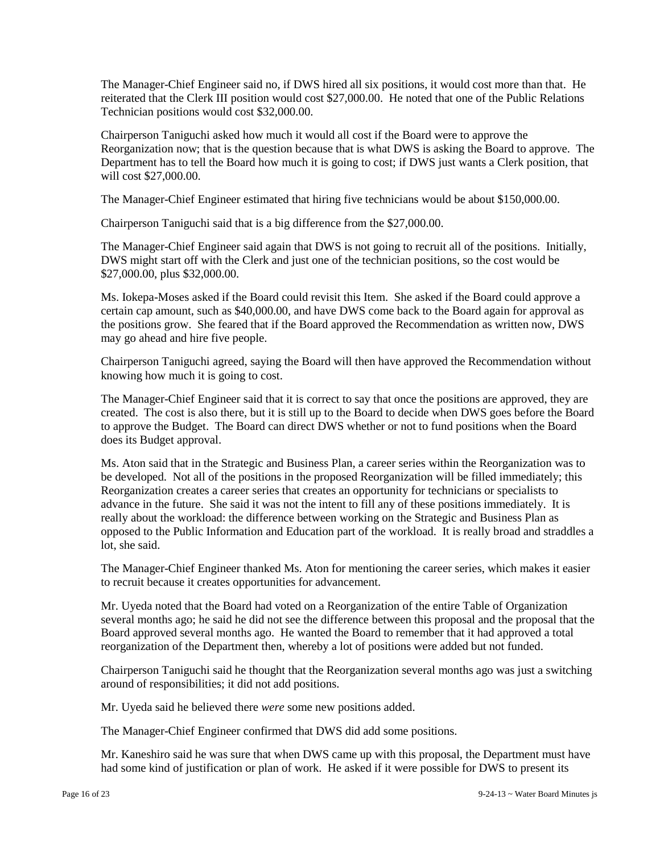The Manager-Chief Engineer said no, if DWS hired all six positions, it would cost more than that. He reiterated that the Clerk III position would cost \$27,000.00. He noted that one of the Public Relations Technician positions would cost \$32,000.00.

Chairperson Taniguchi asked how much it would all cost if the Board were to approve the Reorganization now; that is the question because that is what DWS is asking the Board to approve. The Department has to tell the Board how much it is going to cost; if DWS just wants a Clerk position, that will cost \$27,000.00.

The Manager-Chief Engineer estimated that hiring five technicians would be about \$150,000.00.

Chairperson Taniguchi said that is a big difference from the \$27,000.00.

The Manager-Chief Engineer said again that DWS is not going to recruit all of the positions. Initially, DWS might start off with the Clerk and just one of the technician positions, so the cost would be \$27,000.00, plus \$32,000.00.

Ms. Iokepa-Moses asked if the Board could revisit this Item. She asked if the Board could approve a certain cap amount, such as \$40,000.00, and have DWS come back to the Board again for approval as the positions grow. She feared that if the Board approved the Recommendation as written now, DWS may go ahead and hire five people.

Chairperson Taniguchi agreed, saying the Board will then have approved the Recommendation without knowing how much it is going to cost.

The Manager-Chief Engineer said that it is correct to say that once the positions are approved, they are created. The cost is also there, but it is still up to the Board to decide when DWS goes before the Board to approve the Budget. The Board can direct DWS whether or not to fund positions when the Board does its Budget approval.

Ms. Aton said that in the Strategic and Business Plan, a career series within the Reorganization was to be developed. Not all of the positions in the proposed Reorganization will be filled immediately; this Reorganization creates a career series that creates an opportunity for technicians or specialists to advance in the future. She said it was not the intent to fill any of these positions immediately. It is really about the workload: the difference between working on the Strategic and Business Plan as opposed to the Public Information and Education part of the workload. It is really broad and straddles a lot, she said.

The Manager-Chief Engineer thanked Ms. Aton for mentioning the career series, which makes it easier to recruit because it creates opportunities for advancement.

Mr. Uyeda noted that the Board had voted on a Reorganization of the entire Table of Organization several months ago; he said he did not see the difference between this proposal and the proposal that the Board approved several months ago. He wanted the Board to remember that it had approved a total reorganization of the Department then, whereby a lot of positions were added but not funded.

Chairperson Taniguchi said he thought that the Reorganization several months ago was just a switching around of responsibilities; it did not add positions.

Mr. Uyeda said he believed there *were* some new positions added.

The Manager-Chief Engineer confirmed that DWS did add some positions.

Mr. Kaneshiro said he was sure that when DWS came up with this proposal, the Department must have had some kind of justification or plan of work. He asked if it were possible for DWS to present its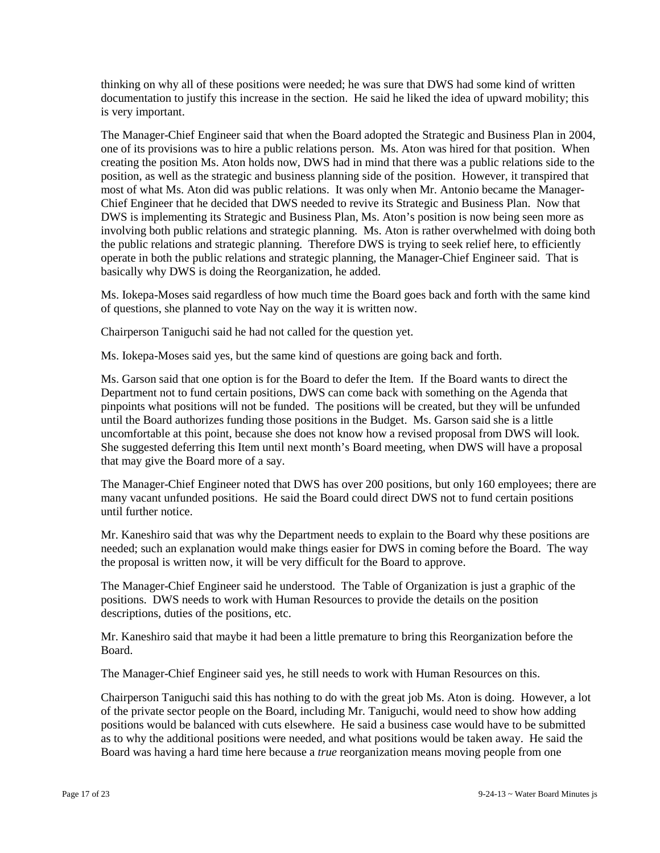thinking on why all of these positions were needed; he was sure that DWS had some kind of written documentation to justify this increase in the section. He said he liked the idea of upward mobility; this is very important.

The Manager-Chief Engineer said that when the Board adopted the Strategic and Business Plan in 2004, one of its provisions was to hire a public relations person. Ms. Aton was hired for that position. When creating the position Ms. Aton holds now, DWS had in mind that there was a public relations side to the position, as well as the strategic and business planning side of the position. However, it transpired that most of what Ms. Aton did was public relations. It was only when Mr. Antonio became the Manager-Chief Engineer that he decided that DWS needed to revive its Strategic and Business Plan. Now that DWS is implementing its Strategic and Business Plan, Ms. Aton's position is now being seen more as involving both public relations and strategic planning. Ms. Aton is rather overwhelmed with doing both the public relations and strategic planning. Therefore DWS is trying to seek relief here, to efficiently operate in both the public relations and strategic planning, the Manager-Chief Engineer said. That is basically why DWS is doing the Reorganization, he added.

Ms. Iokepa-Moses said regardless of how much time the Board goes back and forth with the same kind of questions, she planned to vote Nay on the way it is written now.

Chairperson Taniguchi said he had not called for the question yet.

Ms. Iokepa-Moses said yes, but the same kind of questions are going back and forth.

Ms. Garson said that one option is for the Board to defer the Item. If the Board wants to direct the Department not to fund certain positions, DWS can come back with something on the Agenda that pinpoints what positions will not be funded. The positions will be created, but they will be unfunded until the Board authorizes funding those positions in the Budget. Ms. Garson said she is a little uncomfortable at this point, because she does not know how a revised proposal from DWS will look. She suggested deferring this Item until next month's Board meeting, when DWS will have a proposal that may give the Board more of a say.

The Manager-Chief Engineer noted that DWS has over 200 positions, but only 160 employees; there are many vacant unfunded positions. He said the Board could direct DWS not to fund certain positions until further notice.

Mr. Kaneshiro said that was why the Department needs to explain to the Board why these positions are needed; such an explanation would make things easier for DWS in coming before the Board. The way the proposal is written now, it will be very difficult for the Board to approve.

The Manager-Chief Engineer said he understood. The Table of Organization is just a graphic of the positions. DWS needs to work with Human Resources to provide the details on the position descriptions, duties of the positions, etc.

Mr. Kaneshiro said that maybe it had been a little premature to bring this Reorganization before the Board.

The Manager-Chief Engineer said yes, he still needs to work with Human Resources on this.

Chairperson Taniguchi said this has nothing to do with the great job Ms. Aton is doing. However, a lot of the private sector people on the Board, including Mr. Taniguchi, would need to show how adding positions would be balanced with cuts elsewhere. He said a business case would have to be submitted as to why the additional positions were needed, and what positions would be taken away. He said the Board was having a hard time here because a *true* reorganization means moving people from one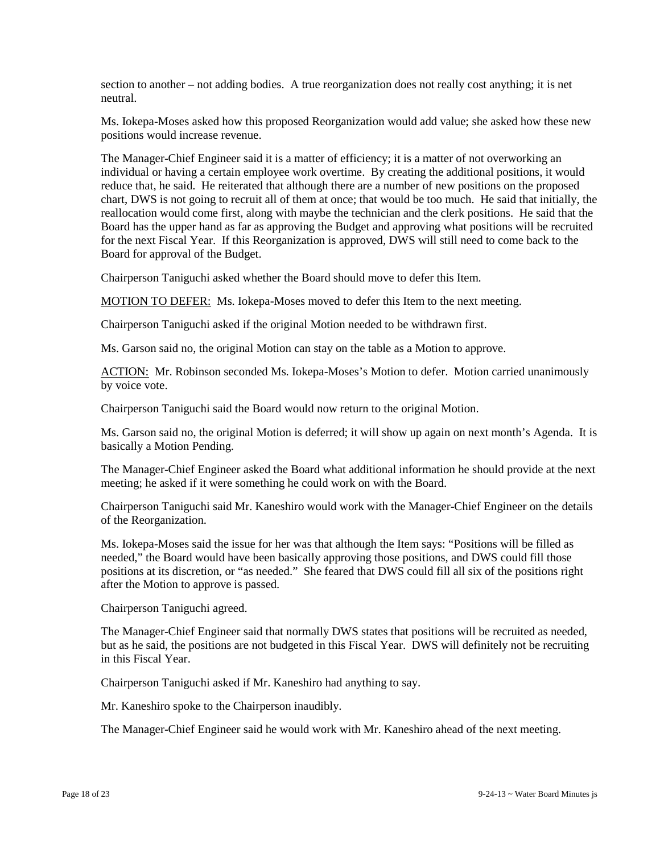section to another – not adding bodies. A true reorganization does not really cost anything; it is net neutral.

Ms. Iokepa-Moses asked how this proposed Reorganization would add value; she asked how these new positions would increase revenue.

The Manager-Chief Engineer said it is a matter of efficiency; it is a matter of not overworking an individual or having a certain employee work overtime. By creating the additional positions, it would reduce that, he said. He reiterated that although there are a number of new positions on the proposed chart, DWS is not going to recruit all of them at once; that would be too much. He said that initially, the reallocation would come first, along with maybe the technician and the clerk positions. He said that the Board has the upper hand as far as approving the Budget and approving what positions will be recruited for the next Fiscal Year. If this Reorganization is approved, DWS will still need to come back to the Board for approval of the Budget.

Chairperson Taniguchi asked whether the Board should move to defer this Item.

MOTION TO DEFER: Ms. Iokepa-Moses moved to defer this Item to the next meeting.

Chairperson Taniguchi asked if the original Motion needed to be withdrawn first.

Ms. Garson said no, the original Motion can stay on the table as a Motion to approve.

ACTION: Mr. Robinson seconded Ms. Iokepa-Moses's Motion to defer. Motion carried unanimously by voice vote.

Chairperson Taniguchi said the Board would now return to the original Motion.

Ms. Garson said no, the original Motion is deferred; it will show up again on next month's Agenda. It is basically a Motion Pending.

The Manager-Chief Engineer asked the Board what additional information he should provide at the next meeting; he asked if it were something he could work on with the Board.

Chairperson Taniguchi said Mr. Kaneshiro would work with the Manager-Chief Engineer on the details of the Reorganization.

Ms. Iokepa-Moses said the issue for her was that although the Item says: "Positions will be filled as needed," the Board would have been basically approving those positions, and DWS could fill those positions at its discretion, or "as needed." She feared that DWS could fill all six of the positions right after the Motion to approve is passed.

Chairperson Taniguchi agreed.

The Manager-Chief Engineer said that normally DWS states that positions will be recruited as needed, but as he said, the positions are not budgeted in this Fiscal Year. DWS will definitely not be recruiting in this Fiscal Year.

Chairperson Taniguchi asked if Mr. Kaneshiro had anything to say.

Mr. Kaneshiro spoke to the Chairperson inaudibly.

The Manager-Chief Engineer said he would work with Mr. Kaneshiro ahead of the next meeting.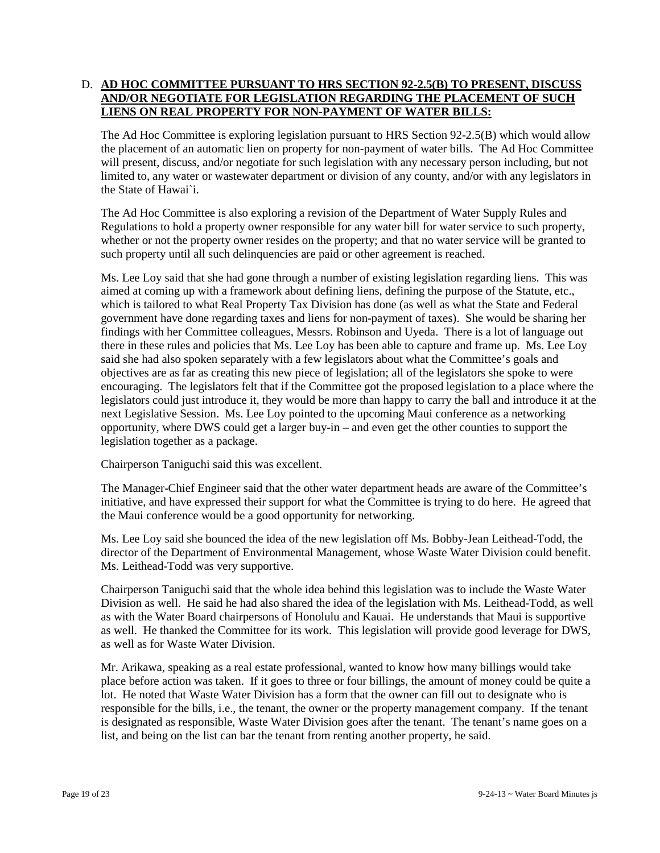# D. **AD HOC COMMITTEE PURSUANT TO HRS SECTION 92-2.5(B) TO PRESENT, DISCUSS AND/OR NEGOTIATE FOR LEGISLATION REGARDING THE PLACEMENT OF SUCH LIENS ON REAL PROPERTY FOR NON-PAYMENT OF WATER BILLS:**

The Ad Hoc Committee is exploring legislation pursuant to HRS Section 92-2.5(B) which would allow the placement of an automatic lien on property for non-payment of water bills. The Ad Hoc Committee will present, discuss, and/or negotiate for such legislation with any necessary person including, but not limited to, any water or wastewater department or division of any county, and/or with any legislators in the State of Hawai`i.

The Ad Hoc Committee is also exploring a revision of the Department of Water Supply Rules and Regulations to hold a property owner responsible for any water bill for water service to such property, whether or not the property owner resides on the property; and that no water service will be granted to such property until all such delinquencies are paid or other agreement is reached.

Ms. Lee Loy said that she had gone through a number of existing legislation regarding liens. This was aimed at coming up with a framework about defining liens, defining the purpose of the Statute, etc., which is tailored to what Real Property Tax Division has done (as well as what the State and Federal government have done regarding taxes and liens for non-payment of taxes). She would be sharing her findings with her Committee colleagues, Messrs. Robinson and Uyeda. There is a lot of language out there in these rules and policies that Ms. Lee Loy has been able to capture and frame up. Ms. Lee Loy said she had also spoken separately with a few legislators about what the Committee's goals and objectives are as far as creating this new piece of legislation; all of the legislators she spoke to were encouraging. The legislators felt that if the Committee got the proposed legislation to a place where the legislators could just introduce it, they would be more than happy to carry the ball and introduce it at the next Legislative Session. Ms. Lee Loy pointed to the upcoming Maui conference as a networking opportunity, where DWS could get a larger buy-in – and even get the other counties to support the legislation together as a package.

Chairperson Taniguchi said this was excellent.

The Manager-Chief Engineer said that the other water department heads are aware of the Committee's initiative, and have expressed their support for what the Committee is trying to do here. He agreed that the Maui conference would be a good opportunity for networking.

Ms. Lee Loy said she bounced the idea of the new legislation off Ms. Bobby-Jean Leithead-Todd, the director of the Department of Environmental Management, whose Waste Water Division could benefit. Ms. Leithead-Todd was very supportive.

Chairperson Taniguchi said that the whole idea behind this legislation was to include the Waste Water Division as well. He said he had also shared the idea of the legislation with Ms. Leithead-Todd, as well as with the Water Board chairpersons of Honolulu and Kauai. He understands that Maui is supportive as well. He thanked the Committee for its work. This legislation will provide good leverage for DWS, as well as for Waste Water Division.

Mr. Arikawa, speaking as a real estate professional, wanted to know how many billings would take place before action was taken. If it goes to three or four billings, the amount of money could be quite a lot. He noted that Waste Water Division has a form that the owner can fill out to designate who is responsible for the bills, i.e., the tenant, the owner or the property management company. If the tenant is designated as responsible, Waste Water Division goes after the tenant. The tenant's name goes on a list, and being on the list can bar the tenant from renting another property, he said.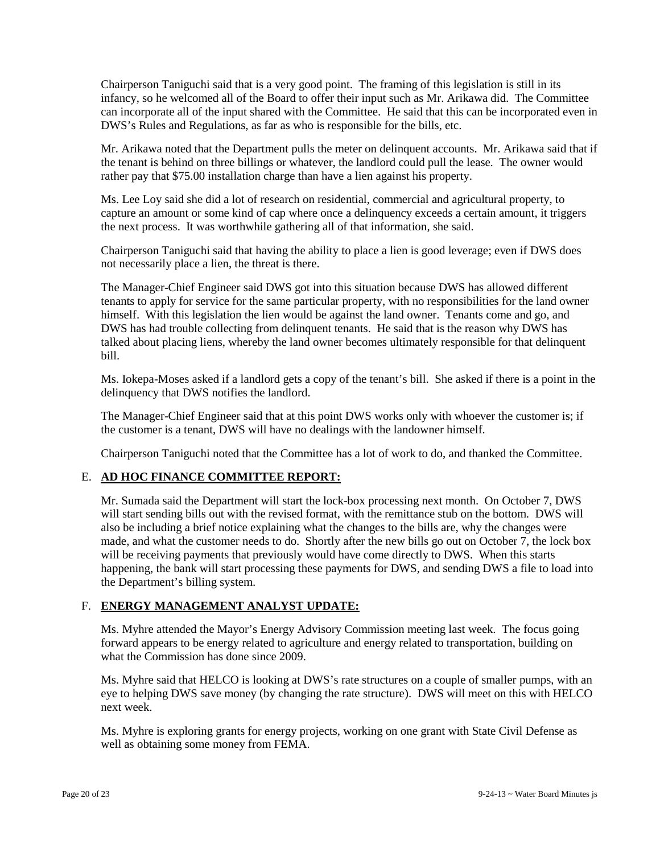Chairperson Taniguchi said that is a very good point. The framing of this legislation is still in its infancy, so he welcomed all of the Board to offer their input such as Mr. Arikawa did. The Committee can incorporate all of the input shared with the Committee. He said that this can be incorporated even in DWS's Rules and Regulations, as far as who is responsible for the bills, etc.

Mr. Arikawa noted that the Department pulls the meter on delinquent accounts. Mr. Arikawa said that if the tenant is behind on three billings or whatever, the landlord could pull the lease. The owner would rather pay that \$75.00 installation charge than have a lien against his property.

Ms. Lee Loy said she did a lot of research on residential, commercial and agricultural property, to capture an amount or some kind of cap where once a delinquency exceeds a certain amount, it triggers the next process. It was worthwhile gathering all of that information, she said.

Chairperson Taniguchi said that having the ability to place a lien is good leverage; even if DWS does not necessarily place a lien, the threat is there.

The Manager-Chief Engineer said DWS got into this situation because DWS has allowed different tenants to apply for service for the same particular property, with no responsibilities for the land owner himself. With this legislation the lien would be against the land owner. Tenants come and go, and DWS has had trouble collecting from delinquent tenants. He said that is the reason why DWS has talked about placing liens, whereby the land owner becomes ultimately responsible for that delinquent bill.

Ms. Iokepa-Moses asked if a landlord gets a copy of the tenant's bill. She asked if there is a point in the delinquency that DWS notifies the landlord.

The Manager-Chief Engineer said that at this point DWS works only with whoever the customer is; if the customer is a tenant, DWS will have no dealings with the landowner himself.

Chairperson Taniguchi noted that the Committee has a lot of work to do, and thanked the Committee.

## E. **AD HOC FINANCE COMMITTEE REPORT:**

Mr. Sumada said the Department will start the lock-box processing next month. On October 7, DWS will start sending bills out with the revised format, with the remittance stub on the bottom. DWS will also be including a brief notice explaining what the changes to the bills are, why the changes were made, and what the customer needs to do. Shortly after the new bills go out on October 7, the lock box will be receiving payments that previously would have come directly to DWS. When this starts happening, the bank will start processing these payments for DWS, and sending DWS a file to load into the Department's billing system.

## F. **ENERGY MANAGEMENT ANALYST UPDATE:**

Ms. Myhre attended the Mayor's Energy Advisory Commission meeting last week. The focus going forward appears to be energy related to agriculture and energy related to transportation, building on what the Commission has done since 2009.

Ms. Myhre said that HELCO is looking at DWS's rate structures on a couple of smaller pumps, with an eye to helping DWS save money (by changing the rate structure). DWS will meet on this with HELCO next week.

Ms. Myhre is exploring grants for energy projects, working on one grant with State Civil Defense as well as obtaining some money from FEMA.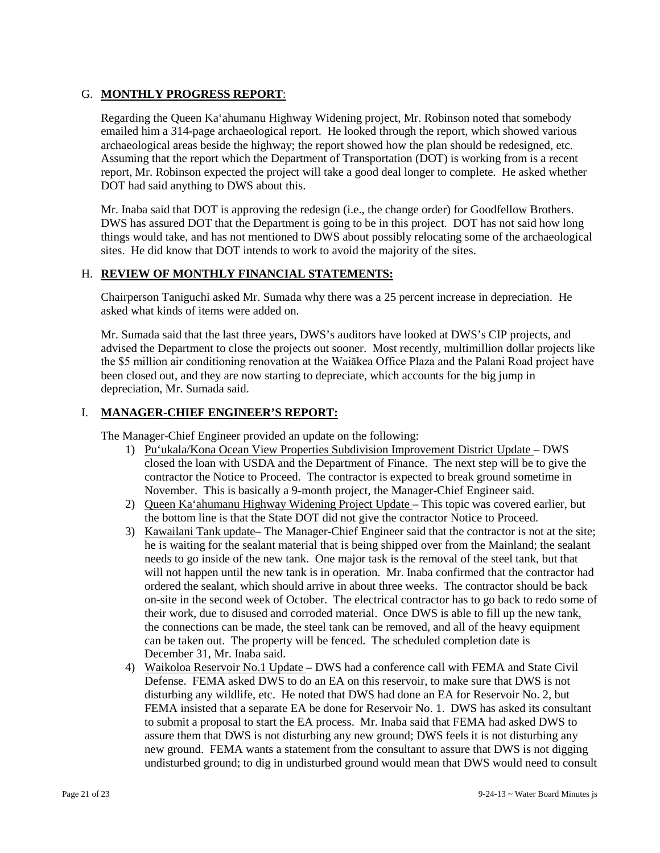## G. **MONTHLY PROGRESS REPORT**:

Regarding the Queen Ka'ahumanu Highway Widening project, Mr. Robinson noted that somebody emailed him a 314-page archaeological report. He looked through the report, which showed various archaeological areas beside the highway; the report showed how the plan should be redesigned, etc. Assuming that the report which the Department of Transportation (DOT) is working from is a recent report, Mr. Robinson expected the project will take a good deal longer to complete. He asked whether DOT had said anything to DWS about this.

Mr. Inaba said that DOT is approving the redesign (i.e., the change order) for Goodfellow Brothers. DWS has assured DOT that the Department is going to be in this project. DOT has not said how long things would take, and has not mentioned to DWS about possibly relocating some of the archaeological sites. He did know that DOT intends to work to avoid the majority of the sites.

## H. **REVIEW OF MONTHLY FINANCIAL STATEMENTS:**

Chairperson Taniguchi asked Mr. Sumada why there was a 25 percent increase in depreciation. He asked what kinds of items were added on.

Mr. Sumada said that the last three years, DWS's auditors have looked at DWS's CIP projects, and advised the Department to close the projects out sooner. Most recently, multimillion dollar projects like the \$5 million air conditioning renovation at the Waiākea Office Plaza and the Palani Road project have been closed out, and they are now starting to depreciate, which accounts for the big jump in depreciation, Mr. Sumada said.

#### I. **MANAGER-CHIEF ENGINEER'S REPORT:**

The Manager-Chief Engineer provided an update on the following:

- 1) Pu'ukala/Kona Ocean View Properties Subdivision Improvement District Update DWS closed the loan with USDA and the Department of Finance. The next step will be to give the contractor the Notice to Proceed. The contractor is expected to break ground sometime in November. This is basically a 9-month project, the Manager-Chief Engineer said.
- 2) Queen Ka'ahumanu Highway Widening Project Update This topic was covered earlier, but the bottom line is that the State DOT did not give the contractor Notice to Proceed.
- 3) Kawailani Tank update– The Manager-Chief Engineer said that the contractor is not at the site; he is waiting for the sealant material that is being shipped over from the Mainland; the sealant needs to go inside of the new tank. One major task is the removal of the steel tank, but that will not happen until the new tank is in operation. Mr. Inaba confirmed that the contractor had ordered the sealant, which should arrive in about three weeks. The contractor should be back on-site in the second week of October. The electrical contractor has to go back to redo some of their work, due to disused and corroded material. Once DWS is able to fill up the new tank, the connections can be made, the steel tank can be removed, and all of the heavy equipment can be taken out. The property will be fenced. The scheduled completion date is December 31, Mr. Inaba said.
- 4) Waikoloa Reservoir No.1 Update DWS had a conference call with FEMA and State Civil Defense. FEMA asked DWS to do an EA on this reservoir, to make sure that DWS is not disturbing any wildlife, etc. He noted that DWS had done an EA for Reservoir No. 2, but FEMA insisted that a separate EA be done for Reservoir No. 1. DWS has asked its consultant to submit a proposal to start the EA process. Mr. Inaba said that FEMA had asked DWS to assure them that DWS is not disturbing any new ground; DWS feels it is not disturbing any new ground. FEMA wants a statement from the consultant to assure that DWS is not digging undisturbed ground; to dig in undisturbed ground would mean that DWS would need to consult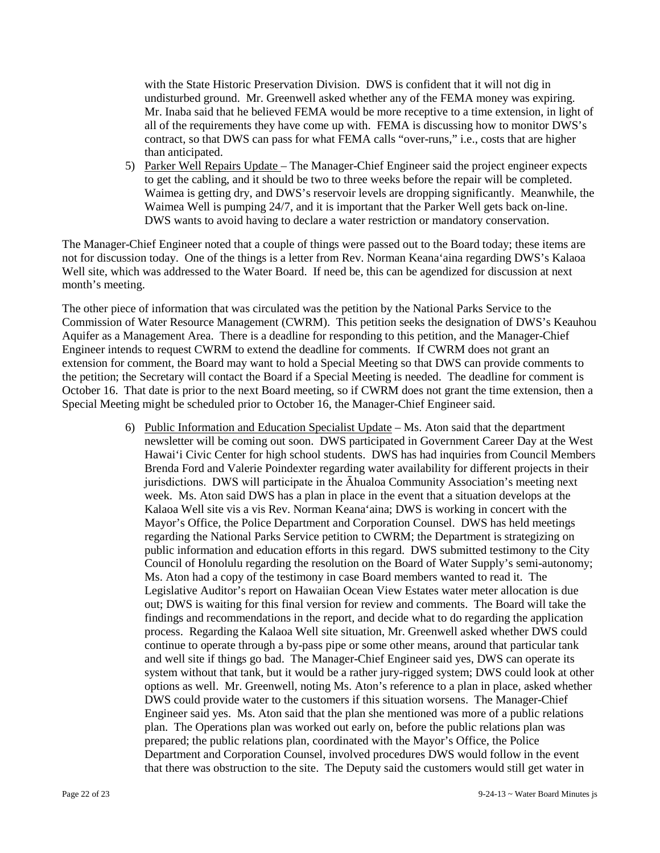with the State Historic Preservation Division. DWS is confident that it will not dig in undisturbed ground. Mr. Greenwell asked whether any of the FEMA money was expiring. Mr. Inaba said that he believed FEMA would be more receptive to a time extension, in light of all of the requirements they have come up with. FEMA is discussing how to monitor DWS's contract, so that DWS can pass for what FEMA calls "over-runs," i.e., costs that are higher than anticipated.

5) Parker Well Repairs Update – The Manager-Chief Engineer said the project engineer expects to get the cabling, and it should be two to three weeks before the repair will be completed. Waimea is getting dry, and DWS's reservoir levels are dropping significantly. Meanwhile, the Waimea Well is pumping 24/7, and it is important that the Parker Well gets back on-line. DWS wants to avoid having to declare a water restriction or mandatory conservation.

The Manager-Chief Engineer noted that a couple of things were passed out to the Board today; these items are not for discussion today. One of the things is a letter from Rev. Norman Keana'aina regarding DWS's Kalaoa Well site, which was addressed to the Water Board. If need be, this can be agendized for discussion at next month's meeting.

The other piece of information that was circulated was the petition by the National Parks Service to the Commission of Water Resource Management (CWRM). This petition seeks the designation of DWS's Keauhou Aquifer as a Management Area. There is a deadline for responding to this petition, and the Manager-Chief Engineer intends to request CWRM to extend the deadline for comments. If CWRM does not grant an extension for comment, the Board may want to hold a Special Meeting so that DWS can provide comments to the petition; the Secretary will contact the Board if a Special Meeting is needed. The deadline for comment is October 16. That date is prior to the next Board meeting, so if CWRM does not grant the time extension, then a Special Meeting might be scheduled prior to October 16, the Manager-Chief Engineer said.

> 6) Public Information and Education Specialist Update – Ms. Aton said that the department newsletter will be coming out soon. DWS participated in Government Career Day at the West Hawai'i Civic Center for high school students. DWS has had inquiries from Council Members Brenda Ford and Valerie Poindexter regarding water availability for different projects in their jurisdictions. DWS will participate in the Āhualoa Community Association's meeting next week. Ms. Aton said DWS has a plan in place in the event that a situation develops at the Kalaoa Well site vis a vis Rev. Norman Keana'aina; DWS is working in concert with the Mayor's Office, the Police Department and Corporation Counsel. DWS has held meetings regarding the National Parks Service petition to CWRM; the Department is strategizing on public information and education efforts in this regard. DWS submitted testimony to the City Council of Honolulu regarding the resolution on the Board of Water Supply's semi-autonomy; Ms. Aton had a copy of the testimony in case Board members wanted to read it. The Legislative Auditor's report on Hawaiian Ocean View Estates water meter allocation is due out; DWS is waiting for this final version for review and comments. The Board will take the findings and recommendations in the report, and decide what to do regarding the application process. Regarding the Kalaoa Well site situation, Mr. Greenwell asked whether DWS could continue to operate through a by-pass pipe or some other means, around that particular tank and well site if things go bad. The Manager-Chief Engineer said yes, DWS can operate its system without that tank, but it would be a rather jury-rigged system; DWS could look at other options as well. Mr. Greenwell, noting Ms. Aton's reference to a plan in place, asked whether DWS could provide water to the customers if this situation worsens. The Manager-Chief Engineer said yes. Ms. Aton said that the plan she mentioned was more of a public relations plan. The Operations plan was worked out early on, before the public relations plan was prepared; the public relations plan, coordinated with the Mayor's Office, the Police Department and Corporation Counsel, involved procedures DWS would follow in the event that there was obstruction to the site. The Deputy said the customers would still get water in